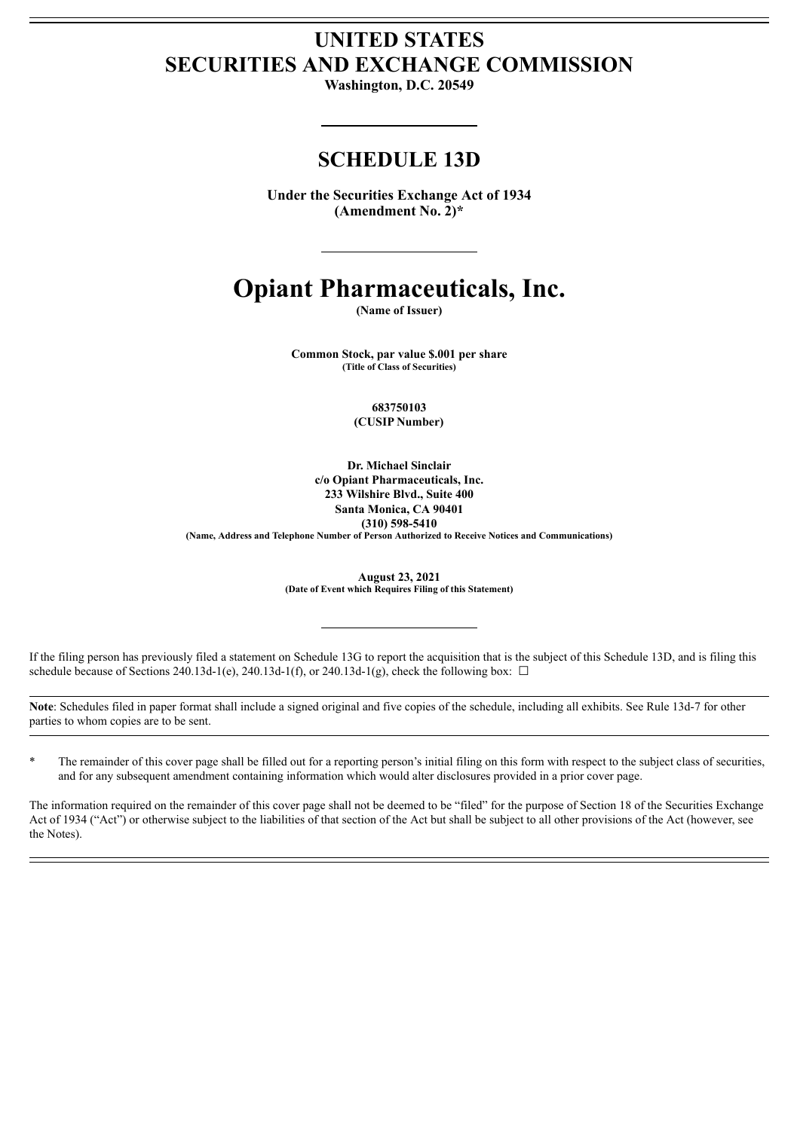# **UNITED STATES SECURITIES AND EXCHANGE COMMISSION**

**Washington, D.C. 20549**

## **SCHEDULE 13D**

**Under the Securities Exchange Act of 1934 (Amendment No. 2)\***

# **Opiant Pharmaceuticals, Inc.**

**(Name of Issuer)**

**Common Stock, par value \$.001 per share (Title of Class of Securities)**

> **683750103 (CUSIP Number)**

**Dr. Michael Sinclair c/o Opiant Pharmaceuticals, Inc. 233 Wilshire Blvd., Suite 400 Santa Monica, CA 90401 (310) 598-5410 (Name, Address and Telephone Number of Person Authorized to Receive Notices and Communications)**

> **August 23, 2021 (Date of Event which Requires Filing of this Statement)**

If the filing person has previously filed a statement on Schedule 13G to report the acquisition that is the subject of this Schedule 13D, and is filing this schedule because of Sections 240.13d-1(e), 240.13d-1(f), or 240.13d-1(g), check the following box:  $\Box$ 

**Note**: Schedules filed in paper format shall include a signed original and five copies of the schedule, including all exhibits. See Rule 13d-7 for other parties to whom copies are to be sent.

The remainder of this cover page shall be filled out for a reporting person's initial filing on this form with respect to the subject class of securities, and for any subsequent amendment containing information which would alter disclosures provided in a prior cover page.

The information required on the remainder of this cover page shall not be deemed to be "filed" for the purpose of Section 18 of the Securities Exchange Act of 1934 ("Act") or otherwise subject to the liabilities of that section of the Act but shall be subject to all other provisions of the Act (however, see the Notes).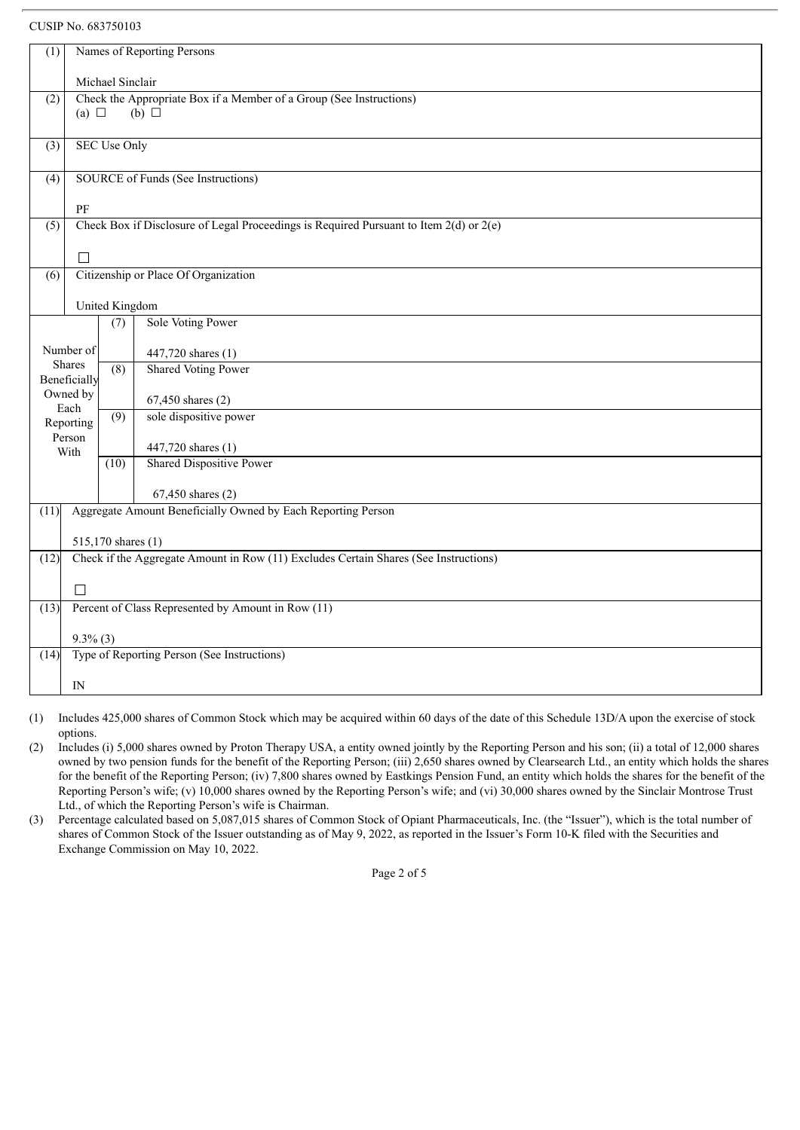### CUSIP No. 683750103

| CODIL 190. 00 <i>0100100</i>                        |                                                                                                      |      |                                             |  |  |  |
|-----------------------------------------------------|------------------------------------------------------------------------------------------------------|------|---------------------------------------------|--|--|--|
| (1)                                                 | Names of Reporting Persons                                                                           |      |                                             |  |  |  |
|                                                     | Michael Sinclair                                                                                     |      |                                             |  |  |  |
| (2)                                                 | Check the Appropriate Box if a Member of a Group (See Instructions)<br>$(b)$ $\square$<br>(a) $\Box$ |      |                                             |  |  |  |
|                                                     |                                                                                                      |      |                                             |  |  |  |
| (3)                                                 | <b>SEC Use Only</b>                                                                                  |      |                                             |  |  |  |
| (4)                                                 | SOURCE of Funds (See Instructions)                                                                   |      |                                             |  |  |  |
|                                                     | $\rm PF$                                                                                             |      |                                             |  |  |  |
| $\overline{(5)}$                                    | Check Box if Disclosure of Legal Proceedings is Required Pursuant to Item 2(d) or 2(e)               |      |                                             |  |  |  |
|                                                     | П                                                                                                    |      |                                             |  |  |  |
| $\overline{(6)}$                                    | Citizenship or Place Of Organization                                                                 |      |                                             |  |  |  |
|                                                     | United Kingdom                                                                                       |      |                                             |  |  |  |
|                                                     |                                                                                                      | (7)  | Sole Voting Power                           |  |  |  |
|                                                     | Number of                                                                                            |      | 447,720 shares (1)                          |  |  |  |
|                                                     | Shares                                                                                               | (8)  | <b>Shared Voting Power</b>                  |  |  |  |
|                                                     | Beneficially<br>Owned by                                                                             |      |                                             |  |  |  |
|                                                     | Each                                                                                                 | (9)  | 67,450 shares (2)<br>sole dispositive power |  |  |  |
|                                                     | Reporting<br>Person                                                                                  |      |                                             |  |  |  |
|                                                     | With                                                                                                 |      | 447,720 shares (1)                          |  |  |  |
|                                                     |                                                                                                      | (10) | <b>Shared Dispositive Power</b>             |  |  |  |
|                                                     |                                                                                                      |      | 67,450 shares (2)                           |  |  |  |
|                                                     | Aggregate Amount Beneficially Owned by Each Reporting Person<br>(11)                                 |      |                                             |  |  |  |
|                                                     | 515,170 shares (1)                                                                                   |      |                                             |  |  |  |
| (12)                                                | Check if the Aggregate Amount in Row (11) Excludes Certain Shares (See Instructions)                 |      |                                             |  |  |  |
|                                                     | $\Box$                                                                                               |      |                                             |  |  |  |
| (13)                                                | Percent of Class Represented by Amount in Row (11)                                                   |      |                                             |  |  |  |
|                                                     | $9.3\%$ (3)                                                                                          |      |                                             |  |  |  |
| Type of Reporting Person (See Instructions)<br>(14) |                                                                                                      |      |                                             |  |  |  |
|                                                     | IN                                                                                                   |      |                                             |  |  |  |
|                                                     |                                                                                                      |      |                                             |  |  |  |

(1) Includes 425,000 shares of Common Stock which may be acquired within 60 days of the date of this Schedule 13D/A upon the exercise of stock options.

(2) Includes (i) 5,000 shares owned by Proton Therapy USA, a entity owned jointly by the Reporting Person and his son; (ii) a total of 12,000 shares owned by two pension funds for the benefit of the Reporting Person; (iii) 2,650 shares owned by Clearsearch Ltd., an entity which holds the shares for the benefit of the Reporting Person; (iv) 7,800 shares owned by Eastkings Pension Fund, an entity which holds the shares for the benefit of the Reporting Person's wife; (v) 10,000 shares owned by the Reporting Person's wife; and (vi) 30,000 shares owned by the Sinclair Montrose Trust Ltd., of which the Reporting Person's wife is Chairman.

(3) Percentage calculated based on 5,087,015 shares of Common Stock of Opiant Pharmaceuticals, Inc. (the "Issuer"), which is the total number of shares of Common Stock of the Issuer outstanding as of May 9, 2022, as reported in the Issuer's Form 10-K filed with the Securities and Exchange Commission on May 10, 2022.

Page 2 of 5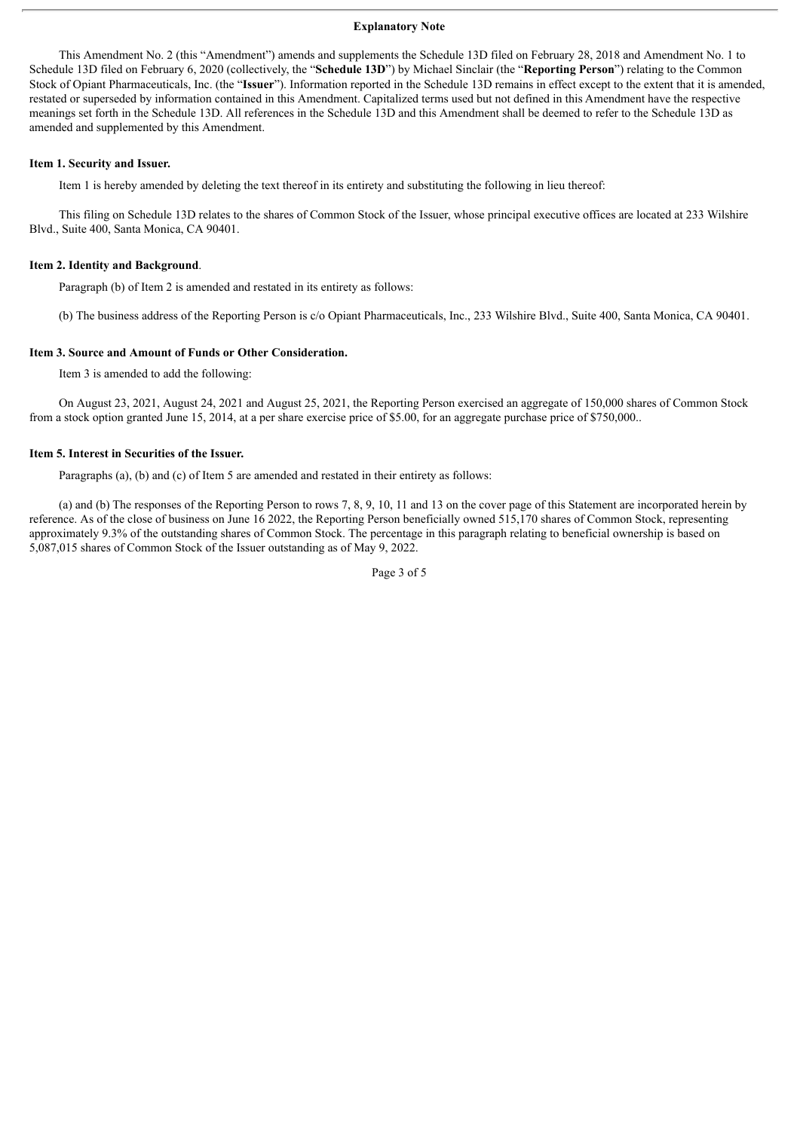#### **Explanatory Note**

This Amendment No. 2 (this "Amendment") amends and supplements the Schedule 13D filed on February 28, 2018 and Amendment No. 1 to Schedule 13D filed on February 6, 2020 (collectively, the "**Schedule 13D**") by Michael Sinclair (the "**Reporting Person**") relating to the Common Stock of Opiant Pharmaceuticals, Inc. (the "**Issuer**"). Information reported in the Schedule 13D remains in effect except to the extent that it is amended, restated or superseded by information contained in this Amendment. Capitalized terms used but not defined in this Amendment have the respective meanings set forth in the Schedule 13D. All references in the Schedule 13D and this Amendment shall be deemed to refer to the Schedule 13D as amended and supplemented by this Amendment.

#### **Item 1. Security and Issuer.**

Item 1 is hereby amended by deleting the text thereof in its entirety and substituting the following in lieu thereof:

This filing on Schedule 13D relates to the shares of Common Stock of the Issuer, whose principal executive offices are located at 233 Wilshire Blvd., Suite 400, Santa Monica, CA 90401.

#### **Item 2. Identity and Background**.

Paragraph (b) of Item 2 is amended and restated in its entirety as follows:

(b) The business address of the Reporting Person is c/o Opiant Pharmaceuticals, Inc., 233 Wilshire Blvd., Suite 400, Santa Monica, CA 90401.

#### **Item 3. Source and Amount of Funds or Other Consideration.**

Item 3 is amended to add the following:

On August 23, 2021, August 24, 2021 and August 25, 2021, the Reporting Person exercised an aggregate of 150,000 shares of Common Stock from a stock option granted June 15, 2014, at a per share exercise price of \$5.00, for an aggregate purchase price of \$750,000..

#### **Item 5. Interest in Securities of the Issuer.**

Paragraphs (a), (b) and (c) of Item 5 are amended and restated in their entirety as follows:

(a) and (b) The responses of the Reporting Person to rows 7, 8, 9, 10, 11 and 13 on the cover page of this Statement are incorporated herein by reference. As of the close of business on June 16 2022, the Reporting Person beneficially owned 515,170 shares of Common Stock, representing approximately 9.3% of the outstanding shares of Common Stock. The percentage in this paragraph relating to beneficial ownership is based on 5,087,015 shares of Common Stock of the Issuer outstanding as of May 9, 2022.

Page 3 of 5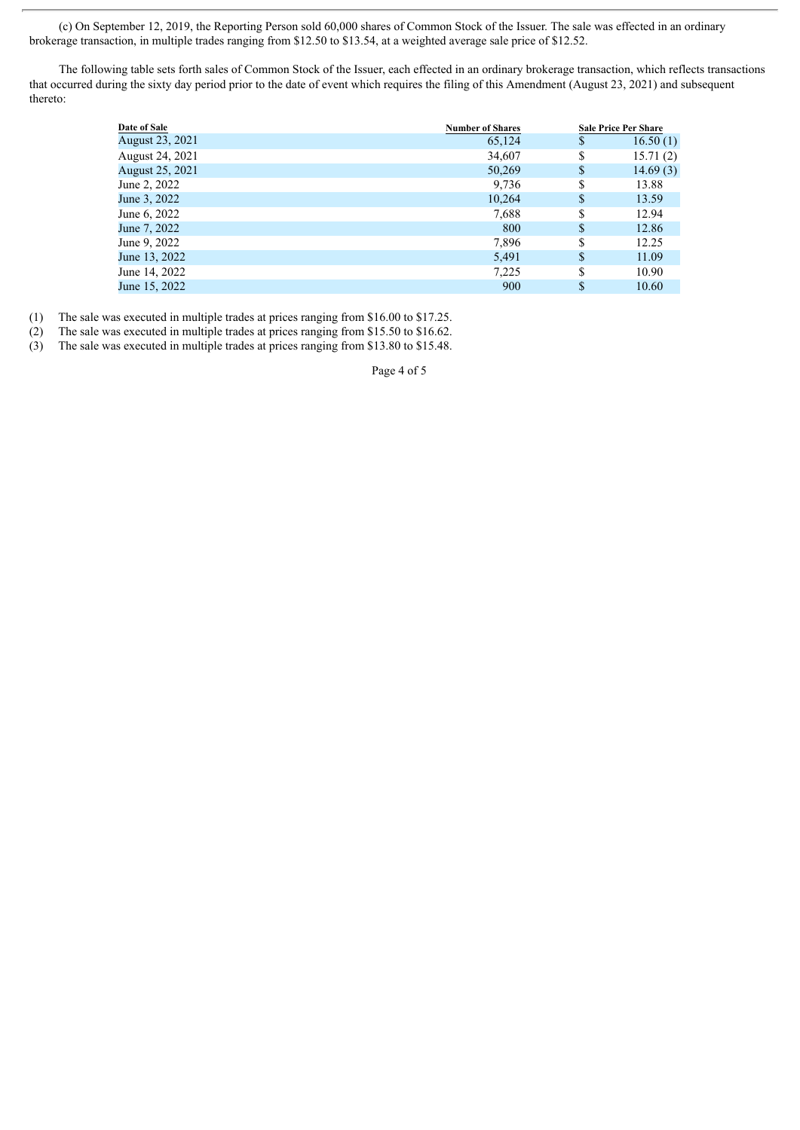(c) On September 12, 2019, the Reporting Person sold 60,000 shares of Common Stock of the Issuer. The sale was effected in an ordinary brokerage transaction, in multiple trades ranging from \$12.50 to \$13.54, at a weighted average sale price of \$12.52.

The following table sets forth sales of Common Stock of the Issuer, each effected in an ordinary brokerage transaction, which reflects transactions that occurred during the sixty day period prior to the date of event which requires the filing of this Amendment (August 23, 2021) and subsequent thereto:

| <b>Date of Sale</b> | <b>Number of Shares</b> | <b>Sale Price Per Share</b> |
|---------------------|-------------------------|-----------------------------|
| August 23, 2021     | 65,124                  | \$<br>16.50(1)              |
| August 24, 2021     | 34,607                  | \$<br>15.71(2)              |
| August 25, 2021     | 50,269                  | \$<br>14.69(3)              |
| June 2, 2022        | 9,736                   | \$<br>13.88                 |
| June 3, 2022        | 10,264                  | \$<br>13.59                 |
| June 6, 2022        | 7,688                   | \$<br>12.94                 |
| June 7, 2022        | 800                     | \$<br>12.86                 |
| June 9, 2022        | 7,896                   | \$<br>12.25                 |
| June 13, 2022       | 5,491                   | \$<br>11.09                 |
| June 14, 2022       | 7,225                   | \$<br>10.90                 |
| June 15, 2022       | 900                     | \$<br>10.60                 |

- (1) The sale was executed in multiple trades at prices ranging from \$16.00 to \$17.25.
- (2) The sale was executed in multiple trades at prices ranging from \$15.50 to \$16.62.
- (3) The sale was executed in multiple trades at prices ranging from \$13.80 to \$15.48.

Page 4 of 5